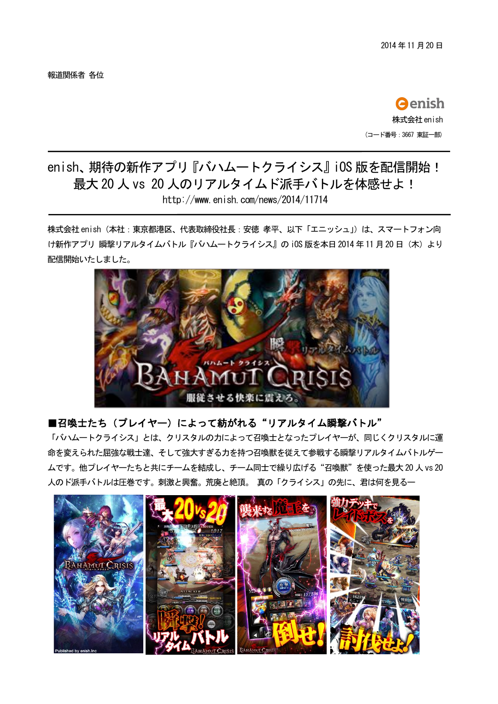報道関係者 各位

**O**enish 株式会社 enish (コード番号: 3667 東証一部)

## enish、期待の新作アプリ『バハムートクライシス』iOS版を配信開始! 最大 20 人 vs 20 人のリアルタイムド派手バトルを体感せよ! http://www.enish.com/news/2014/11714

株式会社 enish(本社:東京都港区、代表取締役社長:安徳 孝平、以下「エニッシュ」)は、スマートフォン向 け新作アプリ 瞬撃リアルタイムバトル『バハムートクライシス』の iOS 版を本日 2014年11月20日 (木) より 配信開始いたしました。



## ■召喚士たち(プレイヤー)によって紡がれる"リアルタイム瞬撃バトル"

「バハムートクライシス」とは、クリスタルの力によって召喚士となったプレイヤーが、同じくクリスタルに運 命を変えられた屈強な戦士達、そして強大すぎる力を持つ召喚獣を従えて参戦する瞬撃リアルタイムバトルゲー ムです。他プレイヤーたちと共にチームを結成し、チーム同士で繰り広げる"召喚獣"を使った最大20人 vs 20 人のド派手バトルは圧巻です。刺激と興奮。荒廃と絶頂。真の「クライシス」の先に、君は何を見る一

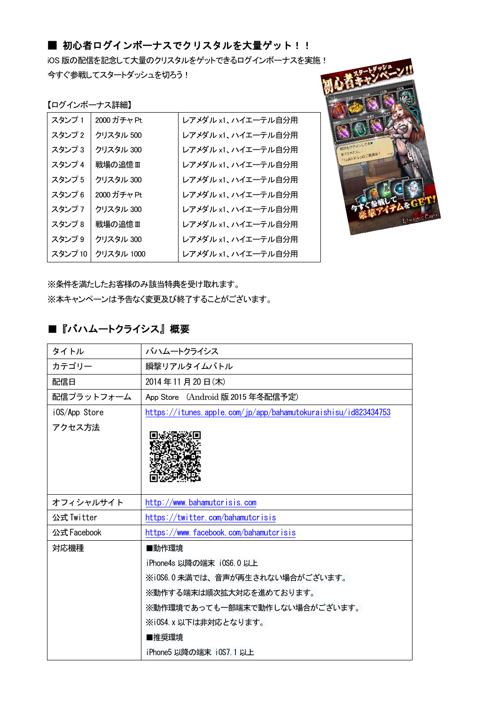## ■ 初心者ログインボーナスでクリスタルを大量ゲット!!

iOS 版の配信を記念して大量のクリスタルをゲットできるログインボーナスを実施! 今すぐ参戦してスタートダッシュを切ろう!

| 【ログインボーナス詳細】 |             |                     |  |
|--------------|-------------|---------------------|--|
| スタンプ1        | 2000 ガチャ Pt | レアメダル x1、ハイエーテル自分用  |  |
| スタンプ2        | クリスタル 500   | レアメダル x1、ハイエーテル自分用  |  |
| スタンプ 3       | クリスタル 300   | レアメダル x1、ハイエーテル自分用  |  |
| スタンプ4        | 戦場の追憶Ⅲ      | レアメダル x1、ハイエーテル自分用  |  |
| スタンプ5        | クリスタル 300   | レアメダル x1. ハイエーテル自分用 |  |
| スタンプ6        | 2000 ガチャ Pt | レアメダル x1、ハイエーテル自分用  |  |
| スタンプ7        | クリスタル 300   | レアメダル x1. ハイエーテル自分用 |  |
| スタンプ8        | 戦場の追憶Ⅲ      | レアメダル x1、ハイエーテル自分用  |  |
| スタンプ9        | クリスタル 300   | レアメダル x1. ハイエーテル自分用 |  |
| スタンプ10       | クリスタル 1000  | レアメダル x1、ハイエーテル自分用  |  |



※条件を満たしたお客様のみ該当特典を受け取れます。 ※本キャンペーンは予告なく変更及び終了することがございます。

## ■『バハムートクライシス』概要

| タイトル          | バハムートクライシス                                                     |
|---------------|----------------------------------------------------------------|
| カテゴリー         | 瞬撃リアルタイムバトル                                                    |
| 配信日           | 2014年11月20日(木)                                                 |
| 配信プラットフォーム    | App Store (Android 版 2015 年冬配信予定)                              |
| iOS/App Store | https://itunes.apple.com/jp/app/bahamutokuraishisu/id823434753 |
| アクセス方法        |                                                                |
| オフィシャルサイト     | http://www.bahamutcrisis.com                                   |
| 公式 Twitter    | https://twitter.com/bahamutcrisis                              |
| 公式 Facebook   | https://www.facebook.com/bahamutcrisis                         |
| 対応機種          | ■動作環境                                                          |
|               | iPhone4s 以降の端末 i0S6.0 以上                                       |
|               | ※i0S6.0未満では、音声が再生されない場合がございます。                                 |
|               | ※動作する端末は順次拡大対応を進めております。                                        |
|               | ※動作環境であっても一部端末で動作しない場合がございます。                                  |
|               | ※iOS4.x以下は非対応となります。                                            |
|               | ■推奨環境                                                          |
|               | iPhone5 以降の端末 iOS7.1 以上                                        |